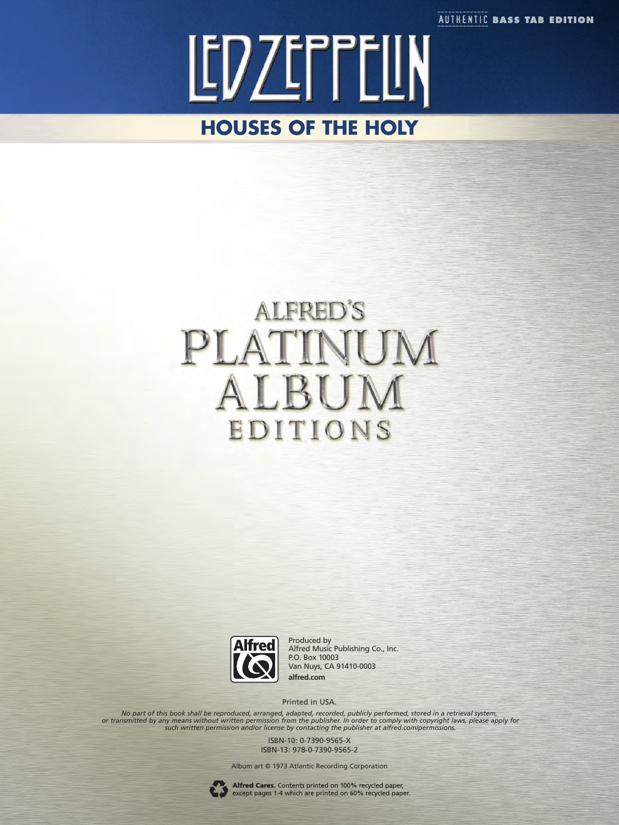**AUTHENTIC BASS TAB EDITION** 

LEDZEFFELIN **HOUSES OF THE HOLY**

## **ALFRED'S** PLATIN UM ALBU EDITIONS



Produced by Alfred Music Publishing Co., Inc. P.O. Box 10003 Van Nuys, CA 91410-0003 **alfred.com**

Printed in USA.

No part of this book shall be reproduced, arranged, adapted, recorded, publicly performed, stored in a retrieval system,<br>or transmitted by any means without written permission from the publisher. In order to comply with co

ISBN-10: 0-7390-9565-X ISBN-13: 978-0-7390-9565-2

Album art © 1973 Atlantic Recording Corporation



Alfred Cares. Contents printed on 100% recycled paper,<br>except pages 1-4 which are printed on 60% recycled paper.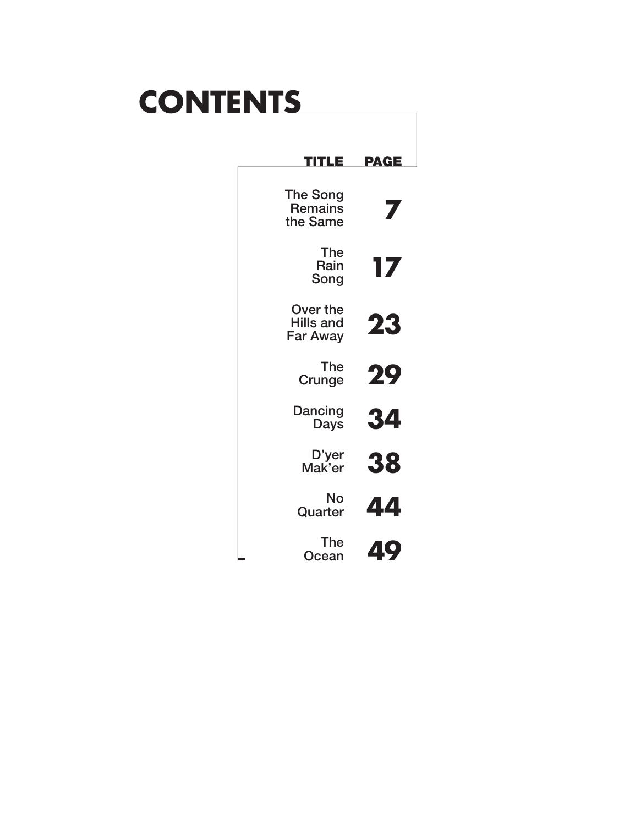# **CONTENTS**

| PAGE      | TLE                                             |
|-----------|-------------------------------------------------|
|           | <b>The Song</b><br><b>Remains</b><br>the Same   |
| 17        | <b>The</b><br>Rain<br>Song                      |
| <b>23</b> | Over the<br><b>Hills and</b><br><b>Far Away</b> |
| 29        | <b>The</b><br>Crunge                            |
| 34        | Dancing<br><b>Days</b>                          |
| 38        | D'yer<br>Mak'er                                 |
| 44        | No<br>Quarter                                   |
| 49        | The<br>Ocean                                    |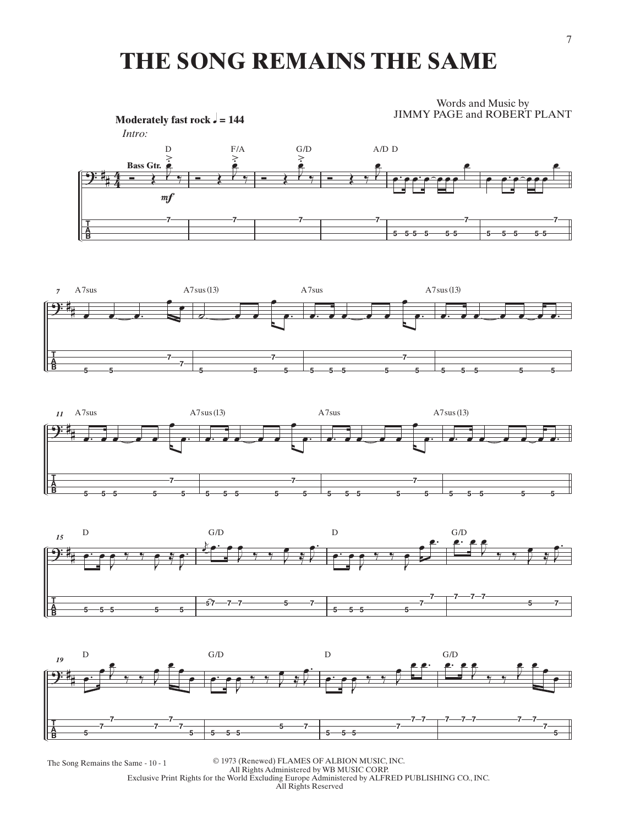### **THE SONG REMAINS THE SAME**

Words and Music by JIMMY PAGE and ROBERT PLANT











The Song Remains the Same - 10 - 1 <sup>©</sup> 1973 (Renewed) FLAMES OF ALBION MUSIC, INC.<br>All Rights Administered by WB MUSIC CORP. Exclusive Print Rights for the World Excluding Europe Administered by ALFRED PUBLISHING CO., INC. All Rights Reserved